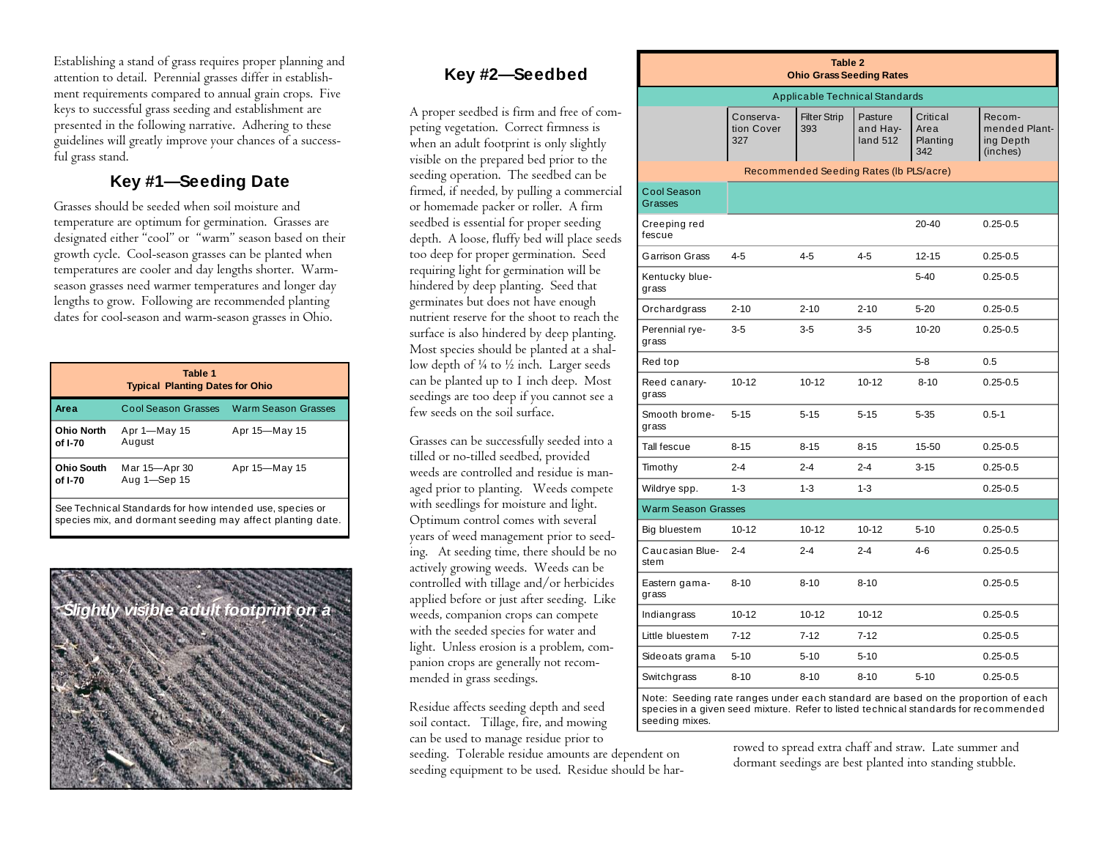Establishing a stand of grass requires proper planning and attention to detail. Perennial grasses differ in establishment requirements compared to annual grain crops. Five keys to successful grass seeding and establishment are presented in the following narrative. Adhering to these guidelines will greatly improve your chances of a successful grass stand.

#### **Key #1—Seeding Date**

Grasses should be seeded when soil moisture and temperature are optimum for germination. Grasses are designated either "cool" or "warm" season based on their growth cycle. Cool-season grasses can be planted when temperatures are cooler and day lengths shorter. Warmseason grasses need warmer temperatures and longer day lengths to grow. Following are recommended planting dates for cool-season and warm-season grasses in Ohio.

| Table 1<br><b>Typical Planting Dates for Ohio</b>                                                                      |                               |                                         |  |  |  |
|------------------------------------------------------------------------------------------------------------------------|-------------------------------|-----------------------------------------|--|--|--|
| Area                                                                                                                   |                               | Cool Season Grasses Warm Season Grasses |  |  |  |
| <b>Ohio North</b><br>of I-70                                                                                           | Apr 1-May 15<br>August        | Apr 15-May 15                           |  |  |  |
| <b>Ohio South</b><br>of I-70                                                                                           | Mar 15-Apr 30<br>Aug 1-Sep 15 | Apr 15-May 15                           |  |  |  |
| See Technical Standards for how intended use, species or<br>species mix, and dormant seeding may affect planting date. |                               |                                         |  |  |  |



# **Key #2—Seedbed**

A proper seedbed is firm and free of competing vegetation. Correct firmness is when an adult footprint is only slightly visible on the prepared bed prior to the seeding operation. The seedbed can be firmed, if needed, by pulling a commercial or homemade packer or roller. A firm seedbed is essential for proper seeding depth. A loose, fluffy bed will place seeds too deep for proper germination. Seed requiring light for germination will be hindered by deep planting. Seed that germinates but does not have enough nutrient reserve for the shoot to reach the surface is also hindered by deep planting. Most species should be planted at a shallow depth of  $\frac{1}{4}$  to  $\frac{1}{2}$  inch. Larger seeds can be planted up to 1 inch deep. Most seedings are too deep if you cannot see a few seeds on the soil surface.

Grasses can be successfully seeded into a tilled or no-tilled seedbed, provided weeds are controlled and residue is managed prior to planting. Weeds compete with seedlings for moisture and light. Optimum control comes with several years of weed management prior to seeding. At seeding time, there should be no actively growing weeds. Weeds can be controlled with tillage and/or herbicides applied before or just after seeding. Like weeds, companion crops can compete with the seeded species for water and light. Unless erosion is a problem, companion crops are generally not recommended in grass seedings.

Residue affects seeding depth and seed soil contact. Tillage, fire, and mowing can be used to manage residue prior to

seeding. Tolerable residue amounts are dependent on seeding equipment to be used. Residue should be har-

| Table 2<br><b>Ohio Grass Seeding Rates</b> |                                |                            |                                 |                                     |                                                  |  |  |
|--------------------------------------------|--------------------------------|----------------------------|---------------------------------|-------------------------------------|--------------------------------------------------|--|--|
| <b>Applicable Technical Standards</b>      |                                |                            |                                 |                                     |                                                  |  |  |
|                                            | Conserva-<br>tion Cover<br>327 | <b>Filter Strip</b><br>393 | Pasture<br>and Hay-<br>land 512 | Critical<br>Area<br>Planting<br>342 | Recom-<br>mended Plant-<br>ing Depth<br>(inches) |  |  |
| Recommended Seeding Rates (Ib PLS/acre)    |                                |                            |                                 |                                     |                                                  |  |  |
| Cool Season<br>Grasses                     |                                |                            |                                 |                                     |                                                  |  |  |
| Creeping red<br>fescue                     |                                |                            |                                 | $20 - 40$                           | $0.25 - 0.5$                                     |  |  |
| Garrison Grass                             | $4 - 5$                        | $4 - 5$                    | $4 - 5$                         | $12 - 15$                           | $0.25 - 0.5$                                     |  |  |
| Kentucky blue-<br>grass                    |                                |                            |                                 | $5 - 40$                            | $0.25 - 0.5$                                     |  |  |
| Orchardgrass                               | $2 - 10$                       | $2 - 10$                   | $2 - 10$                        | $5 - 20$                            | $0.25 - 0.5$                                     |  |  |
| Perennial rye-<br>grass                    | $3-5$                          | $3 - 5$                    | $3-5$                           | $10 - 20$                           | $0.25 - 0.5$                                     |  |  |
| Red top                                    |                                |                            |                                 | $5 - 8$                             | 0.5                                              |  |  |
| Reed canary-<br>grass                      | $10 - 12$                      | $10 - 12$                  | $10 - 12$                       | $8 - 10$                            | $0.25 - 0.5$                                     |  |  |
| Smooth brome-<br>grass                     | $5 - 15$                       | $5 - 15$                   | $5 - 15$                        | $5 - 35$                            | $0.5 - 1$                                        |  |  |
| Tall fescue                                | $8 - 15$                       | $8 - 15$                   | $8 - 15$                        | 15-50                               | $0.25 - 0.5$                                     |  |  |
| Timothy                                    | $2 - 4$                        | $2 - 4$                    | $2 - 4$                         | $3 - 15$                            | $0.25 - 0.5$                                     |  |  |
| Wildrye spp.                               | $1 - 3$                        | $1 - 3$                    | $1 - 3$                         |                                     | $0.25 - 0.5$                                     |  |  |
| <b>Warm Season Grasses</b>                 |                                |                            |                                 |                                     |                                                  |  |  |
| Big bluestem                               | $10 - 12$                      | $10 - 12$                  | $10 - 12$                       | $5 - 10$                            | $0.25 - 0.5$                                     |  |  |
| Caucasian Blue-<br>stem                    | $2 - 4$                        | $2 - 4$                    | $2 - 4$                         | $4 - 6$                             | $0.25 - 0.5$                                     |  |  |
| Eastern gama-<br>grass                     | $8 - 10$                       | $8 - 10$                   | $8 - 10$                        |                                     | $0.25 - 0.5$                                     |  |  |
| Indiangrass                                | $10 - 12$                      | $10 - 12$                  | $10 - 12$                       |                                     | $0.25 - 0.5$                                     |  |  |
| Little bluestem                            | $7 - 12$                       | $7 - 12$                   | $7 - 12$                        |                                     | $0.25 - 0.5$                                     |  |  |
| Sideoats grama                             | $5 - 10$                       | $5 - 10$                   | $5 - 10$                        |                                     | $0.25 - 0.5$                                     |  |  |
| Switchgrass                                | $8 - 10$                       | $8 - 10$                   | $8 - 10$                        | $5 - 10$                            | $0.25 - 0.5$                                     |  |  |

Note: Seeding rate ranges under each standard are based on the proportion of each species in a given seed mixture. Refer to listed technical standards for recommended seeding mixes.

> rowed to spread extra chaff and straw. Late summer and dormant seedings are best planted into standing stubble.